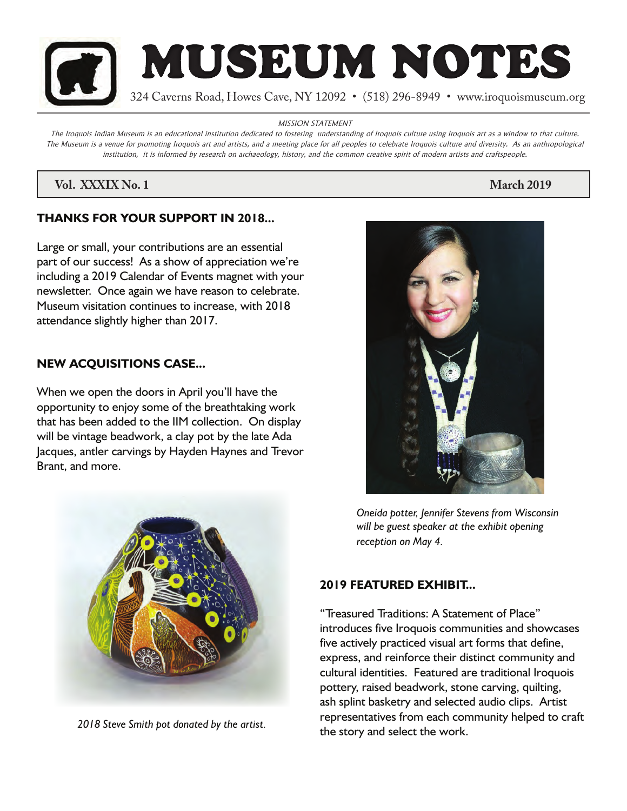

MISSION STATEMENT

The Iroquois Indian Museum is an educational institution dedicated to fostering understanding of Iroquois culture using Iroquois art as a window to that culture. The Museum is a venue for promoting Iroquois art and artists, and a meeting place for all peoples to celebrate Iroquois culture and diversity. As an anthropological institution, it is informed by research on archaeology, history, and the common creative spirit of modern artists and craftspeople.

# *Vol. XXXIX No. 1* **March 2019**

# **THANKS FOR YOUR SUPPORT IN 2018...**

Large or small, your contributions are an essential part of our success! As a show of appreciation we're including a 2019 Calendar of Events magnet with your newsletter. Once again we have reason to celebrate. Museum visitation continues to increase, with 2018 attendance slightly higher than 2017.

# **NEW ACQUISITIONS CASE...**

When we open the doors in April you'll have the opportunity to enjoy some of the breathtaking work that has been added to the IIM collection. On display will be vintage beadwork, a clay pot by the late Ada Jacques, antler carvings by Hayden Haynes and Trevor Brant, and more.



*2018 Steve Smith pot donated by the artist.*



*Oneida potter, Jennifer Stevens from Wisconsin will be guest speaker at the exhibit opening reception on May 4.* 

# **2019 FEATURED EXHIBIT...**

"Treasured Traditions: A Statement of Place" introduces five Iroquois communities and showcases five actively practiced visual art forms that define, express, and reinforce their distinct community and cultural identities. Featured are traditional Iroquois pottery, raised beadwork, stone carving, quilting, ash splint basketry and selected audio clips. Artist representatives from each community helped to craft the story and select the work.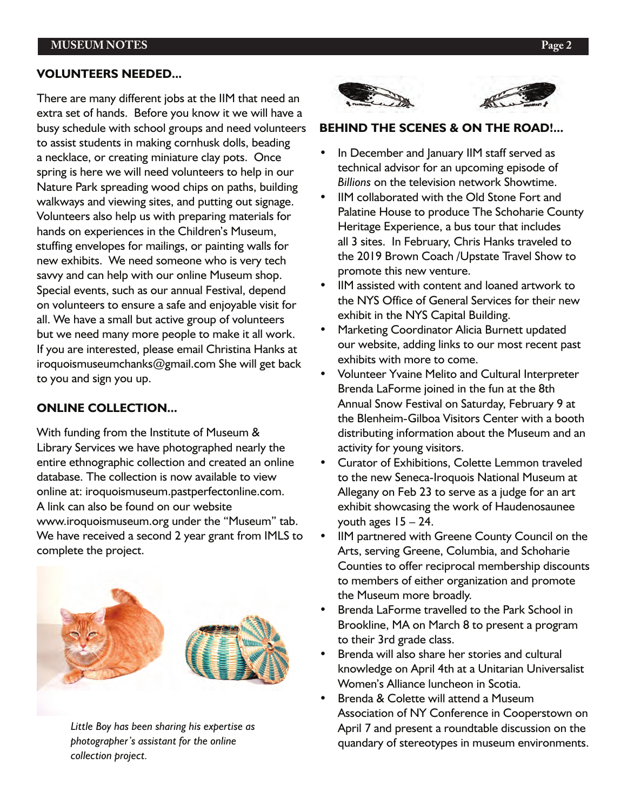### **MUSEUM NOTES Page 2**

#### **VOLUNTEERS NEEDED...**

There are many different jobs at the IIM that need an extra set of hands. Before you know it we will have a busy schedule with school groups and need volunteers to assist students in making cornhusk dolls, beading a necklace, or creating miniature clay pots. Once spring is here we will need volunteers to help in our Nature Park spreading wood chips on paths, building walkways and viewing sites, and putting out signage. Volunteers also help us with preparing materials for hands on experiences in the Children's Museum, stuffing envelopes for mailings, or painting walls for new exhibits. We need someone who is very tech savvy and can help with our online Museum shop. Special events, such as our annual Festival, depend on volunteers to ensure a safe and enjoyable visit for all. We have a small but active group of volunteers but we need many more people to make it all work. If you are interested, please email Christina Hanks at iroquoismuseumchanks@gmail.com She will get back to you and sign you up.

# **ONLINE COLLECTION...**

With funding from the Institute of Museum & Library Services we have photographed nearly the entire ethnographic collection and created an online database. The collection is now available to view online at: iroquoismuseum.pastperfectonline.com. A link can also be found on our website www.iroquoismuseum.org under the "Museum" tab. We have received a second 2 year grant from IMLS to complete the project.



 *Little Boy has been sharing his expertise as photographer's assistant for the online collection project.*



#### **BEHIND THE SCENES & ON THE ROAD!...**

- In December and January IIM staff served as technical advisor for an upcoming episode of *Billions* on the television network Showtime.
- IIM collaborated with the Old Stone Fort and Palatine House to produce The Schoharie County Heritage Experience, a bus tour that includes all 3 sites. In February, Chris Hanks traveled to the 2019 Brown Coach /Upstate Travel Show to promote this new venture.
- IIM assisted with content and loaned artwork to the NYS Office of General Services for their new exhibit in the NYS Capital Building.
- Marketing Coordinator Alicia Burnett updated our website, adding links to our most recent past exhibits with more to come.
- Volunteer Yvaine Melito and Cultural Interpreter Brenda LaForme joined in the fun at the 8th Annual Snow Festival on Saturday, February 9 at the Blenheim-Gilboa Visitors Center with a booth distributing information about the Museum and an activity for young visitors.
- Curator of Exhibitions, Colette Lemmon traveled to the new Seneca-Iroquois National Museum at Allegany on Feb 23 to serve as a judge for an art exhibit showcasing the work of Haudenosaunee youth ages  $15 - 24$ .
- IIM partnered with Greene County Council on the Arts, serving Greene, Columbia, and Schoharie Counties to offer reciprocal membership discounts to members of either organization and promote the Museum more broadly.
- Brenda LaForme travelled to the Park School in Brookline, MA on March 8 to present a program to their 3rd grade class.
- Brenda will also share her stories and cultural knowledge on April 4th at a Unitarian Universalist Women's Alliance luncheon in Scotia.
- Brenda & Colette will attend a Museum Association of NY Conference in Cooperstown on April 7 and present a roundtable discussion on the quandary of stereotypes in museum environments.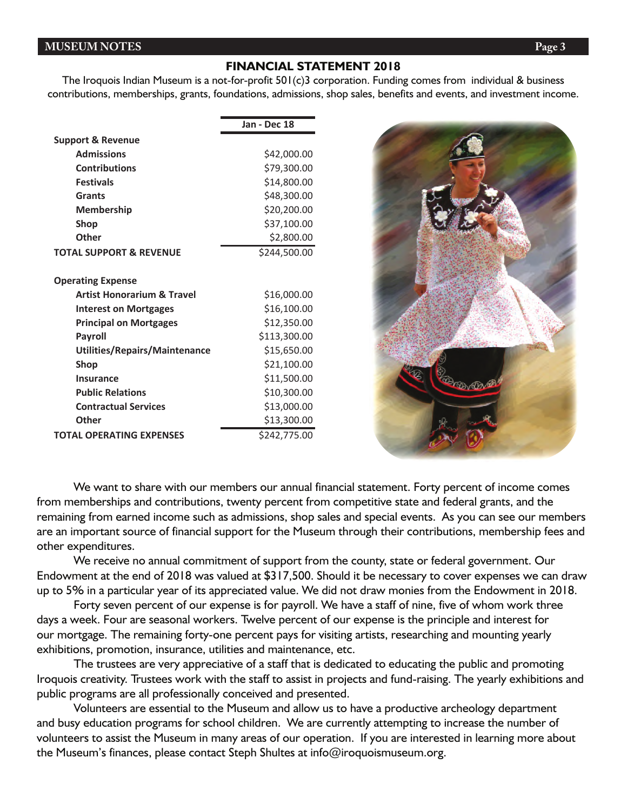#### **MUSEUM NOTES Page 3**

#### **FINANCIAL STATEMENT 2018**

The Iroquois Indian Museum is a not-for-profit 501(c)3 corporation. Funding comes from individual & business contributions, memberships, grants, foundations, admissions, shop sales, benefits and events, and investment income.

|                                       | Jan - Dec 18 |
|---------------------------------------|--------------|
| <b>Support &amp; Revenue</b>          |              |
| <b>Admissions</b>                     | \$42,000.00  |
| <b>Contributions</b>                  | \$79,300.00  |
| <b>Festivals</b>                      | \$14,800.00  |
| Grants                                | \$48,300.00  |
| <b>Membership</b>                     | \$20,200.00  |
| <b>Shop</b>                           | \$37,100.00  |
| Other                                 | \$2,800.00   |
| <b>TOTAL SUPPORT &amp; REVENUE</b>    | \$244,500.00 |
| <b>Operating Expense</b>              |              |
| <b>Artist Honorarium &amp; Travel</b> | \$16,000.00  |
| <b>Interest on Mortgages</b>          | \$16,100.00  |
| <b>Principal on Mortgages</b>         | \$12,350.00  |
| <b>Payroll</b>                        | \$113,300.00 |
| Utilities/Repairs/Maintenance         | \$15,650.00  |
| <b>Shop</b>                           | \$21,100.00  |
| <b>Insurance</b>                      | \$11,500.00  |
| <b>Public Relations</b>               | \$10,300.00  |
| <b>Contractual Services</b>           | \$13,000.00  |
| Other                                 | \$13,300.00  |
| <b>TOTAL OPERATING EXPENSES</b>       | \$242,775.00 |



We want to share with our members our annual financial statement. Forty percent of income comes from memberships and contributions, twenty percent from competitive state and federal grants, and the remaining from earned income such as admissions, shop sales and special events. As you can see our members are an important source of financial support for the Museum through their contributions, membership fees and other expenditures.

We receive no annual commitment of support from the county, state or federal government. Our Endowment at the end of 2018 was valued at \$317,500. Should it be necessary to cover expenses we can draw up to 5% in a particular year of its appreciated value. We did not draw monies from the Endowment in 2018.

Forty seven percent of our expense is for payroll. We have a staff of nine, five of whom work three days a week. Four are seasonal workers. Twelve percent of our expense is the principle and interest for our mortgage. The remaining forty-one percent pays for visiting artists, researching and mounting yearly exhibitions, promotion, insurance, utilities and maintenance, etc.

The trustees are very appreciative of a staff that is dedicated to educating the public and promoting Iroquois creativity. Trustees work with the staff to assist in projects and fund-raising. The yearly exhibitions and public programs are all professionally conceived and presented.

Volunteers are essential to the Museum and allow us to have a productive archeology department and busy education programs for school children. We are currently attempting to increase the number of volunteers to assist the Museum in many areas of our operation. If you are interested in learning more about the Museum's finances, please contact Steph Shultes at info@iroquoismuseum.org.